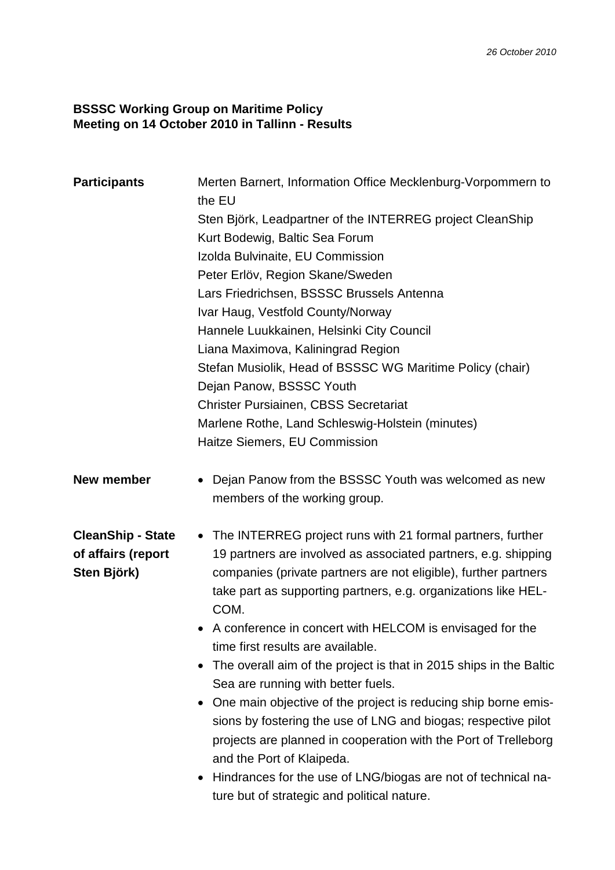## **BSSSC Working Group on Maritime Policy Meeting on 14 October 2010 in Tallinn - Results**

| <b>Participants</b>                                           | Merten Barnert, Information Office Mecklenburg-Vorpommern to<br>the EU<br>Sten Björk, Leadpartner of the INTERREG project CleanShip<br>Kurt Bodewig, Baltic Sea Forum<br>Izolda Bulvinaite, EU Commission<br>Peter Erlöv, Region Skane/Sweden<br>Lars Friedrichsen, BSSSC Brussels Antenna<br>Ivar Haug, Vestfold County/Norway<br>Hannele Luukkainen, Helsinki City Council<br>Liana Maximova, Kaliningrad Region<br>Stefan Musiolik, Head of BSSSC WG Maritime Policy (chair)<br>Dejan Panow, BSSSC Youth<br><b>Christer Pursiainen, CBSS Secretariat</b><br>Marlene Rothe, Land Schleswig-Holstein (minutes)<br>Haitze Siemers, EU Commission                                                                                                                                                                                               |
|---------------------------------------------------------------|------------------------------------------------------------------------------------------------------------------------------------------------------------------------------------------------------------------------------------------------------------------------------------------------------------------------------------------------------------------------------------------------------------------------------------------------------------------------------------------------------------------------------------------------------------------------------------------------------------------------------------------------------------------------------------------------------------------------------------------------------------------------------------------------------------------------------------------------|
| <b>New member</b>                                             | Dejan Panow from the BSSSC Youth was welcomed as new<br>members of the working group.                                                                                                                                                                                                                                                                                                                                                                                                                                                                                                                                                                                                                                                                                                                                                          |
| <b>CleanShip - State</b><br>of affairs (report<br>Sten Björk) | • The INTERREG project runs with 21 formal partners, further<br>19 partners are involved as associated partners, e.g. shipping<br>companies (private partners are not eligible), further partners<br>take part as supporting partners, e.g. organizations like HEL-<br>COM.<br>• A conference in concert with HELCOM is envisaged for the<br>time first results are available.<br>The overall aim of the project is that in 2015 ships in the Baltic<br>Sea are running with better fuels.<br>One main objective of the project is reducing ship borne emis-<br>sions by fostering the use of LNG and biogas; respective pilot<br>projects are planned in cooperation with the Port of Trelleborg<br>and the Port of Klaipeda.<br>Hindrances for the use of LNG/biogas are not of technical na-<br>ture but of strategic and political nature. |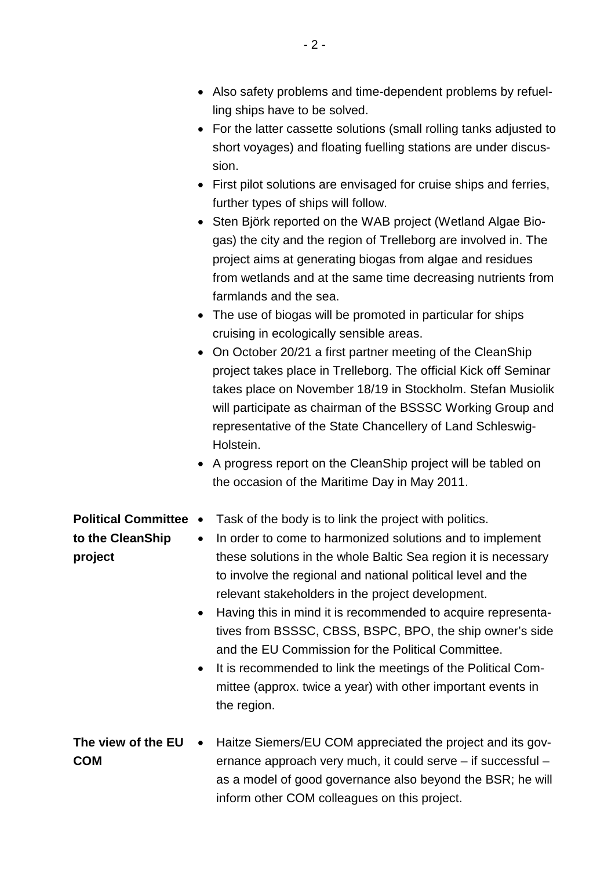- Also safety problems and time-dependent problems by refuelling ships have to be solved.
- For the latter cassette solutions (small rolling tanks adjusted to short voyages) and floating fuelling stations are under discussion.
- First pilot solutions are envisaged for cruise ships and ferries, further types of ships will follow.
- Sten Björk reported on the WAB project (Wetland Algae Biogas) the city and the region of Trelleborg are involved in. The project aims at generating biogas from algae and residues from wetlands and at the same time decreasing nutrients from farmlands and the sea.
- The use of biogas will be promoted in particular for ships cruising in ecologically sensible areas.
- On October 20/21 a first partner meeting of the CleanShip project takes place in Trelleborg. The official Kick off Seminar takes place on November 18/19 in Stockholm. Stefan Musiolik will participate as chairman of the BSSSC Working Group and representative of the State Chancellery of Land Schleswig-Holstein.
- A progress report on the CleanShip project will be tabled on the occasion of the Maritime Day in May 2011.
- **Political Committee**  Task of the body is to link the project with politics.

**to the CleanShip** 

**project**

- In order to come to harmonized solutions and to implement these solutions in the whole Baltic Sea region it is necessary to involve the regional and national political level and the relevant stakeholders in the project development.
	- Having this in mind it is recommended to acquire representatives from BSSSC, CBSS, BSPC, BPO, the ship owner's side and the EU Commission for the Political Committee.
	- It is recommended to link the meetings of the Political Committee (approx. twice a year) with other important events in the region.
- **The view of the EU** Haitze Siemers/EU COM appreciated the project and its gov-**COM** ernance approach very much, it could serve – if successful – as a model of good governance also beyond the BSR; he will inform other COM colleagues on this project.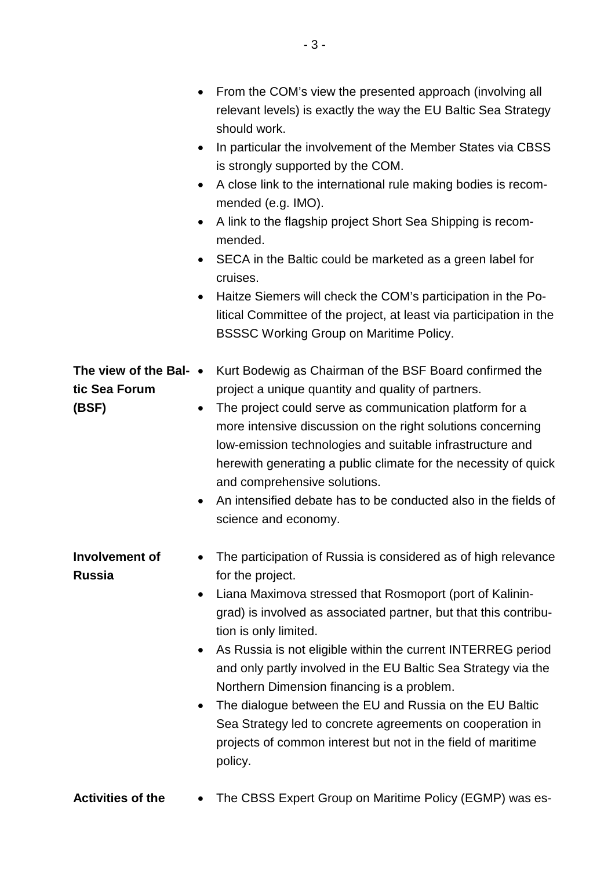|                                                  | From the COM's view the presented approach (involving all<br>relevant levels) is exactly the way the EU Baltic Sea Strategy<br>should work.<br>In particular the involvement of the Member States via CBSS<br>$\bullet$<br>is strongly supported by the COM.<br>A close link to the international rule making bodies is recom-<br>$\bullet$<br>mended (e.g. IMO).<br>A link to the flagship project Short Sea Shipping is recom-<br>$\bullet$<br>mended.<br>SECA in the Baltic could be marketed as a green label for<br>$\bullet$<br>cruises.<br>Haitze Siemers will check the COM's participation in the Po-<br>$\bullet$<br>litical Committee of the project, at least via participation in the<br><b>BSSSC Working Group on Maritime Policy.</b> |
|--------------------------------------------------|------------------------------------------------------------------------------------------------------------------------------------------------------------------------------------------------------------------------------------------------------------------------------------------------------------------------------------------------------------------------------------------------------------------------------------------------------------------------------------------------------------------------------------------------------------------------------------------------------------------------------------------------------------------------------------------------------------------------------------------------------|
| The view of the Bal- •<br>tic Sea Forum<br>(BSF) | Kurt Bodewig as Chairman of the BSF Board confirmed the<br>project a unique quantity and quality of partners.<br>The project could serve as communication platform for a<br>$\bullet$<br>more intensive discussion on the right solutions concerning<br>low-emission technologies and suitable infrastructure and<br>herewith generating a public climate for the necessity of quick<br>and comprehensive solutions.<br>An intensified debate has to be conducted also in the fields of<br>$\bullet$<br>science and economy.                                                                                                                                                                                                                         |
| <b>Involvement of</b><br>Russia                  | The participation of Russia is considered as of high relevance<br>for the project.<br>Liana Maximova stressed that Rosmoport (port of Kalinin-<br>٠<br>grad) is involved as associated partner, but that this contribu-<br>tion is only limited.<br>As Russia is not eligible within the current INTERREG period<br>$\bullet$<br>and only partly involved in the EU Baltic Sea Strategy via the<br>Northern Dimension financing is a problem.<br>The dialogue between the EU and Russia on the EU Baltic<br>$\bullet$<br>Sea Strategy led to concrete agreements on cooperation in<br>projects of common interest but not in the field of maritime<br>policy.                                                                                        |

**Activities of the** • The CBSS Expert Group on Maritime Policy (EGMP) was es-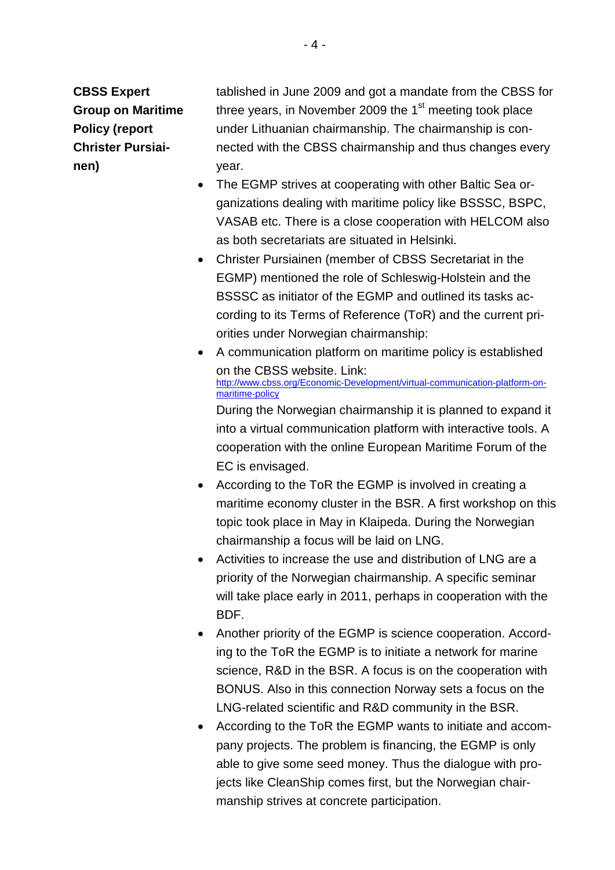**CBSS Expert Group on Maritime Policy (report Christer Pursiainen)**

tablished in June 2009 and got a mandate from the CBSS for three years, in November 2009 the  $1<sup>st</sup>$  meeting took place under Lithuanian chairmanship. The chairmanship is connected with the CBSS chairmanship and thus changes every year.

- The EGMP strives at cooperating with other Baltic Sea organizations dealing with maritime policy like BSSSC, BSPC, VASAB etc. There is a close cooperation with HELCOM also as both secretariats are situated in Helsinki.
- Christer Pursiainen (member of CBSS Secretariat in the EGMP) mentioned the role of Schleswig-Holstein and the BSSSC as initiator of the EGMP and outlined its tasks according to its Terms of Reference (ToR) and the current priorities under Norwegian chairmanship:
- A communication platform on maritime policy is established on the CBSS website. Link: [http://www.cbss.org/Economic-Development/virtual-communication-platform-on](http://www.cbss.org/Economic-Development/virtual-communication-platform-on-maritime-policy)[maritime-policy](http://www.cbss.org/Economic-Development/virtual-communication-platform-on-maritime-policy) During the Norwegian chairmanship it is planned to expand it into a virtual communication platform with interactive tools. A cooperation with the online European Maritime Forum of the EC is envisaged.
- According to the ToR the EGMP is involved in creating a maritime economy cluster in the BSR. A first workshop on this topic took place in May in Klaipeda. During the Norwegian chairmanship a focus will be laid on LNG.
- Activities to increase the use and distribution of LNG are a priority of the Norwegian chairmanship. A specific seminar will take place early in 2011, perhaps in cooperation with the BDF.
- Another priority of the EGMP is science cooperation. According to the ToR the EGMP is to initiate a network for marine science, R&D in the BSR. A focus is on the cooperation with BONUS. Also in this connection Norway sets a focus on the LNG-related scientific and R&D community in the BSR.
- According to the ToR the EGMP wants to initiate and accompany projects. The problem is financing, the EGMP is only able to give some seed money. Thus the dialogue with projects like CleanShip comes first, but the Norwegian chairmanship strives at concrete participation.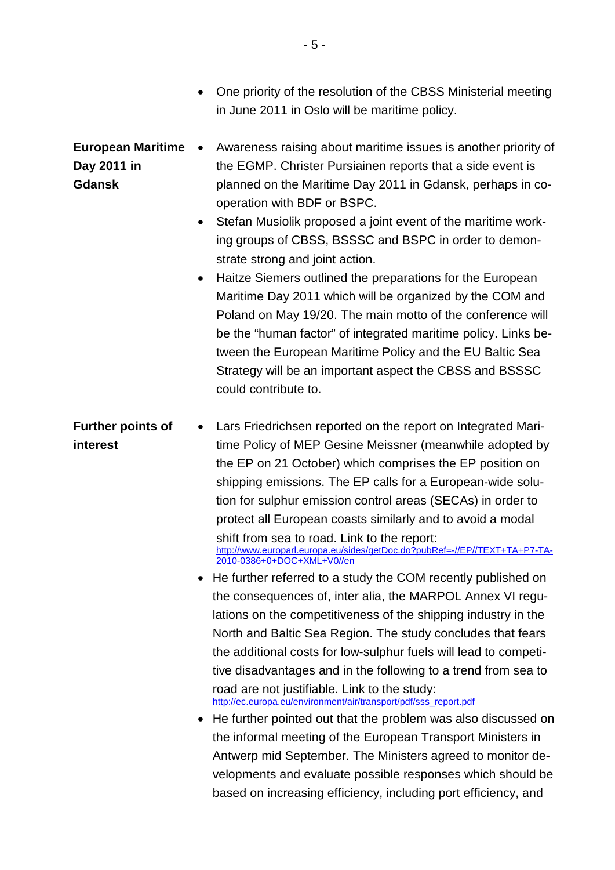- One priority of the resolution of the CBSS Ministerial meeting in June 2011 in Oslo will be maritime policy. **European Maritime Day 2011 in Gdansk** • Awareness raising about maritime issues is another priority of the EGMP. Christer Pursiainen reports that a side event is planned on the Maritime Day 2011 in Gdansk, perhaps in cooperation with BDF or BSPC.
	- Stefan Musiolik proposed a joint event of the maritime working groups of CBSS, BSSSC and BSPC in order to demonstrate strong and joint action.
	- Haitze Siemers outlined the preparations for the European Maritime Day 2011 which will be organized by the COM and Poland on May 19/20. The main motto of the conference will be the "human factor" of integrated maritime policy. Links between the European Maritime Policy and the EU Baltic Sea Strategy will be an important aspect the CBSS and BSSSC could contribute to.

## **Further points of interest** • Lars Friedrichsen reported on the report on Integrated Maritime Policy of MEP Gesine Meissner (meanwhile adopted by

the EP on 21 October) which comprises the EP position on shipping emissions. The EP calls for a European-wide solution for sulphur emission control areas (SECAs) in order to protect all European coasts similarly and to avoid a modal shift from sea to road. Link to the report: [http://www.europarl.europa.eu/sides/getDoc.do?pubRef=-//EP//TEXT+TA+P7-TA-](http://www.europarl.europa.eu/sides/getDoc.do?pubRef=-//EP//TEXT+TA+P7-TA-2010-0386+0+DOC+XML+V0//en)[2010-0386+0+DOC+XML+V0//en](http://www.europarl.europa.eu/sides/getDoc.do?pubRef=-//EP//TEXT+TA+P7-TA-2010-0386+0+DOC+XML+V0//en)

- He further referred to a study the COM recently published on the consequences of, inter alia, the MARPOL Annex VI regulations on the competitiveness of the shipping industry in the North and Baltic Sea Region. The study concludes that fears the additional costs for low-sulphur fuels will lead to competitive disadvantages and in the following to a trend from sea to road are not justifiable. Link to the study: [http://ec.europa.eu/environment/air/transport/pdf/sss\\_report.pdf](http://ec.europa.eu/environment/air/transport/pdf/sss_report.pdf)
- He further pointed out that the problem was also discussed on the informal meeting of the European Transport Ministers in Antwerp mid September. The Ministers agreed to monitor developments and evaluate possible responses which should be based on increasing efficiency, including port efficiency, and